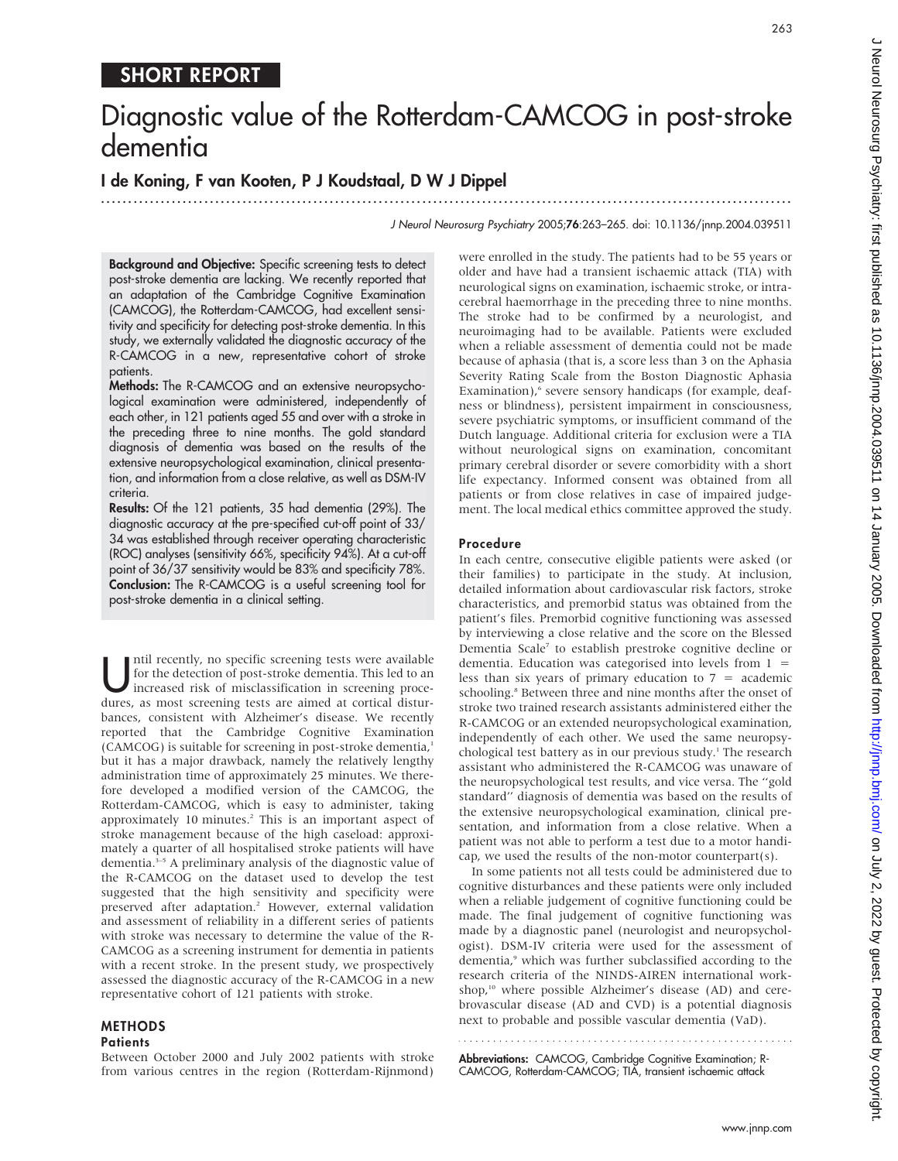# SHORT REPORT

# Diagnostic value of the Rotterdam-CAMCOG in post-stroke dementia

I de Koning, F van Kooten, P J Koudstaal, D W J Dippel

...............................................................................................................................

J Neurol Neurosurg Psychiatry 2005;76:263–265. doi: 10.1136/jnnp.2004.039511

Background and Objective: Specific screening tests to detect post-stroke dementia are lacking. We recently reported that an adaptation of the Cambridge Cognitive Examination (CAMCOG), the Rotterdam-CAMCOG, had excellent sensitivity and specificity for detecting post-stroke dementia. In this study, we externally validated the diagnostic accuracy of the R-CAMCOG in a new, representative cohort of stroke patients.

Methods: The R-CAMCOG and an extensive neuropsychological examination were administered, independently of each other, in 121 patients aged 55 and over with a stroke in the preceding three to nine months. The gold standard diagnosis of dementia was based on the results of the extensive neuropsychological examination, clinical presentation, and information from a close relative, as well as DSM-IV criteria.

Results: Of the 121 patients, 35 had dementia (29%). The diagnostic accuracy at the pre-specified cut-off point of 33/ 34 was established through receiver operating characteristic (ROC) analyses (sensitivity 66%, specificity 94%). At a cut-off point of 36/37 sensitivity would be 83% and specificity 78%. Conclusion: The R-CAMCOG is a useful screening tool for post-stroke dementia in a clinical setting.

Intil recently, no specific screening tests were available<br>for the detection of post-stroke dementia. This led to an<br>increased risk of misclassification in screening proce-<br>dures as most screening tests are aimed at cortic for the detection of post-stroke dementia. This led to an dures, as most screening tests are aimed at cortical disturbances, consistent with Alzheimer's disease. We recently reported that the Cambridge Cognitive Examination (CAMCOG) is suitable for screening in post-stroke dementia,<sup>1</sup> but it has a major drawback, namely the relatively lengthy administration time of approximately 25 minutes. We therefore developed a modified version of the CAMCOG, the Rotterdam-CAMCOG, which is easy to administer, taking approximately 10 minutes.<sup>2</sup> This is an important aspect of stroke management because of the high caseload: approximately a quarter of all hospitalised stroke patients will have dementia.<sup>3-5</sup> A preliminary analysis of the diagnostic value of the R-CAMCOG on the dataset used to develop the test suggested that the high sensitivity and specificity were preserved after adaptation.<sup>2</sup> However, external validation and assessment of reliability in a different series of patients with stroke was necessary to determine the value of the R-CAMCOG as a screening instrument for dementia in patients with a recent stroke. In the present study, we prospectively assessed the diagnostic accuracy of the R-CAMCOG in a new representative cohort of 121 patients with stroke.

## **METHODS**

#### **Patients**

Between October 2000 and July 2002 patients with stroke from various centres in the region (Rotterdam-Rijnmond)

were enrolled in the study. The patients had to be 55 years or older and have had a transient ischaemic attack (TIA) with neurological signs on examination, ischaemic stroke, or intracerebral haemorrhage in the preceding three to nine months. The stroke had to be confirmed by a neurologist, and neuroimaging had to be available. Patients were excluded when a reliable assessment of dementia could not be made because of aphasia (that is, a score less than 3 on the Aphasia Severity Rating Scale from the Boston Diagnostic Aphasia Examination),<sup>6</sup> severe sensory handicaps (for example, deafness or blindness), persistent impairment in consciousness, severe psychiatric symptoms, or insufficient command of the Dutch language. Additional criteria for exclusion were a TIA without neurological signs on examination, concomitant primary cerebral disorder or severe comorbidity with a short life expectancy. Informed consent was obtained from all patients or from close relatives in case of impaired judgement. The local medical ethics committee approved the study.

#### Procedure

In each centre, consecutive eligible patients were asked (or their families) to participate in the study. At inclusion, detailed information about cardiovascular risk factors, stroke characteristics, and premorbid status was obtained from the patient's files. Premorbid cognitive functioning was assessed by interviewing a close relative and the score on the Blessed Dementia Scale7 to establish prestroke cognitive decline or dementia. Education was categorised into levels from  $1 =$ less than six years of primary education to  $7 =$  academic schooling.<sup>8</sup> Between three and nine months after the onset of stroke two trained research assistants administered either the R-CAMCOG or an extended neuropsychological examination, independently of each other. We used the same neuropsychological test battery as in our previous study.<sup>1</sup> The research assistant who administered the R-CAMCOG was unaware of the neuropsychological test results, and vice versa. The ''gold standard'' diagnosis of dementia was based on the results of the extensive neuropsychological examination, clinical presentation, and information from a close relative. When a patient was not able to perform a test due to a motor handicap, we used the results of the non-motor counterpart(s).

In some patients not all tests could be administered due to cognitive disturbances and these patients were only included when a reliable judgement of cognitive functioning could be made. The final judgement of cognitive functioning was made by a diagnostic panel (neurologist and neuropsychologist). DSM-IV criteria were used for the assessment of dementia,<sup>9</sup> which was further subclassified according to the research criteria of the NINDS-AIREN international workshop,<sup>10</sup> where possible Alzheimer's disease (AD) and cerebrovascular disease (AD and CVD) is a potential diagnosis next to probable and possible vascular dementia (VaD).

Abbreviations: CAMCOG, Cambridge Cognitive Examination; R-CAMCOG, Rotterdam-CAMCOG; TIA, transient ischaemic attack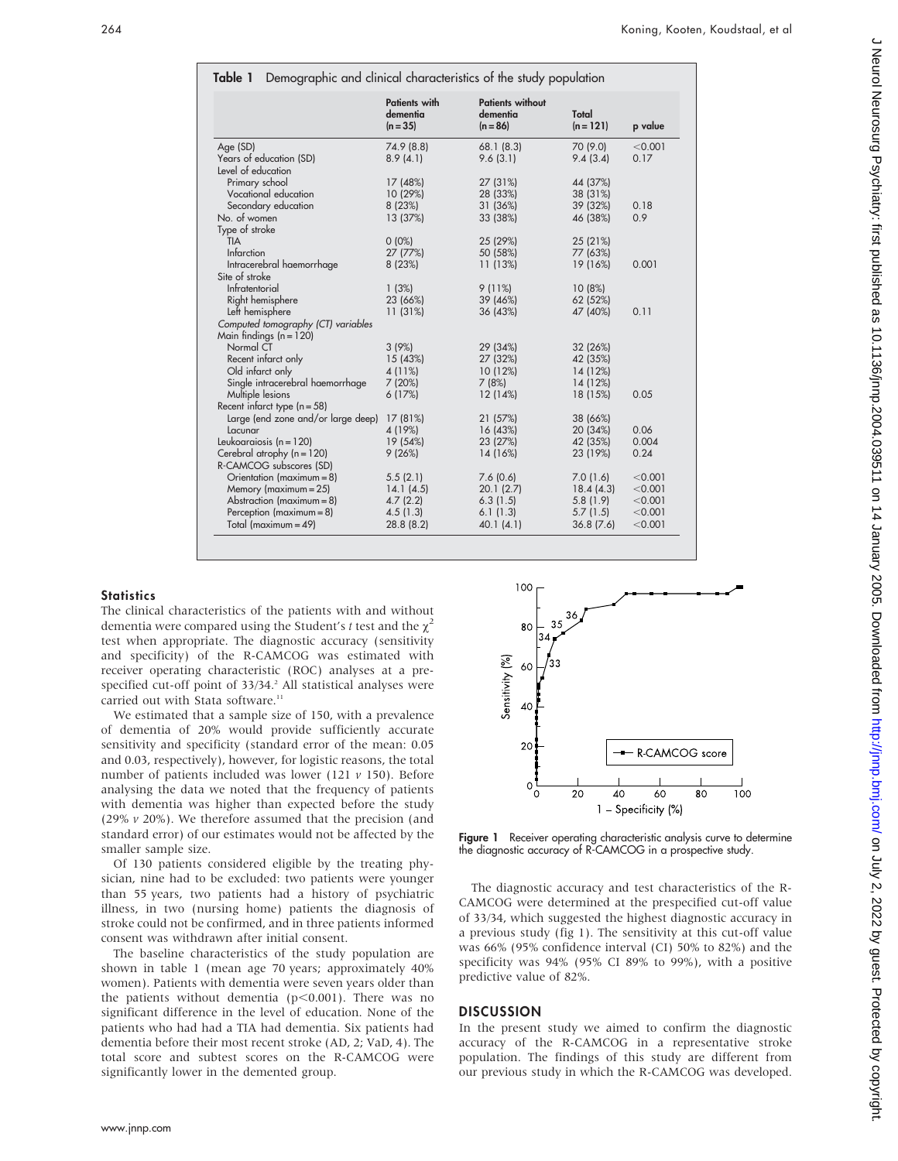| Demographic and clinical characteristics of the study population<br>Table 1                                                                      |                                                            |                                                            |                                                            |                                                     |
|--------------------------------------------------------------------------------------------------------------------------------------------------|------------------------------------------------------------|------------------------------------------------------------|------------------------------------------------------------|-----------------------------------------------------|
|                                                                                                                                                  | <b>Patients with</b><br>dementia<br>$(n = 35)$             | <b>Patients without</b><br>dementia<br>$(n = 86)$          | Total<br>$(n = 121)$                                       | p value                                             |
| Age (SD)<br>Years of education (SD)<br>Level of education                                                                                        | 74.9 (8.8)<br>8.9(4.1)                                     | 68.1(8.3)<br>9.6(3.1)                                      | 70 (9.0)<br>9.4(3.4)                                       | < 0.001<br>0.17                                     |
| Primary school<br>Vocational education<br>Secondary education<br>No. of women                                                                    | 17 (48%)<br>10 (29%)<br>8 (23%)<br>13 (37%)                | 27 (31%)<br>28 (33%)<br>31 (36%)<br>33 (38%)               | 44 (37%)<br>38 (31%)<br>39 (32%)<br>46 (38%)               | 0.18<br>0.9                                         |
| Type of stroke<br><b>TIA</b><br>Infarction<br>Intracerebral haemorrhage                                                                          | $0(0\%)$<br>27 (77%)<br>8 (23%)                            | 25 (29%)<br>50 (58%)<br>11 (13%)                           | 25 (21%)<br>77 (63%)<br>19 (16%)                           | 0.001                                               |
| Site of stroke<br>Infratentorial<br>Right hemisphere<br>Left hemisphere                                                                          | 1(3%)<br>23 (66%)<br>11 (31%)                              | $9(11\%)$<br>39 (46%)<br>36 (43%)                          | 10(8%)<br>62 (52%)<br>47 (40%)                             | 0.11                                                |
| Computed tomography (CT) variables<br>Main findings $(n = 120)$<br>Normal CT                                                                     | 3(9%)                                                      | 29 (34%)                                                   | 32 (26%)                                                   |                                                     |
| Recent infarct only<br>Old infarct only<br>Single intracerebral haemorrhage<br>Multiple lesions                                                  | 15 (43%)<br>4 (11%)<br>7(20%)<br>6(17%)                    | 27 (32%)<br>10 (12%)<br>7(8%)<br>12 (14%)                  | 42 (35%)<br>14 (12%)<br>14 (12%)<br>18 (15%)               | 0.05                                                |
| Recent infarct type $(n = 58)$<br>Large (end zone and/or large deep)<br>Lacunar                                                                  | 17 (81%)<br>4 (19%)                                        | 21 (57%)<br>16 (43%)                                       | 38 (66%)<br>20 (34%)                                       | 0.06                                                |
| Leukoaraiosis ( $n = 120$ )<br>Cerebral atrophy $(n = 120)$<br>R-CAMCOG subscores (SD)                                                           | 19 (54%)<br>9(26%)                                         | 23 (27%)<br>14 (16%)                                       | 42 (35%)<br>23 (19%)                                       | 0.004<br>0.24                                       |
| Orientation (maximum = 8)<br>Memory ( $maximum = 25$ )<br>Abstraction ( $maximum = 8$ )<br>Perception $(maximum = 8)$<br>Total (maximum = $49$ ) | 5.5(2.1)<br>14.1(4.5)<br>4.7(2.2)<br>4.5(1.3)<br>28.8(8.2) | 7.6(0.6)<br>20.1(2.7)<br>6.3(1.5)<br>6.1(1.3)<br>40.1(4.1) | 7.0(1.6)<br>18.4(4.3)<br>5.8(1.9)<br>5.7(1.5)<br>36.8(7.6) | < 0.001<br>< 0.001<br>< 0.001<br>< 0.001<br>< 0.001 |

#### **Statistics**

The clinical characteristics of the patients with and without dementia were compared using the Student's t test and the  $\chi^2$ test when appropriate. The diagnostic accuracy (sensitivity and specificity) of the R-CAMCOG was estimated with receiver operating characteristic (ROC) analyses at a prespecified cut-off point of 33/34.<sup>2</sup> All statistical analyses were carried out with Stata software.<sup>11</sup>

We estimated that a sample size of 150, with a prevalence of dementia of 20% would provide sufficiently accurate sensitivity and specificity (standard error of the mean: 0.05 and 0.03, respectively), however, for logistic reasons, the total number of patients included was lower (121  $\nu$  150). Before analysing the data we noted that the frequency of patients with dementia was higher than expected before the study (29%  $v$  20%). We therefore assumed that the precision (and standard error) of our estimates would not be affected by the smaller sample size.

Of 130 patients considered eligible by the treating physician, nine had to be excluded: two patients were younger than 55 years, two patients had a history of psychiatric illness, in two (nursing home) patients the diagnosis of stroke could not be confirmed, and in three patients informed consent was withdrawn after initial consent.

The baseline characteristics of the study population are shown in table 1 (mean age 70 years; approximately 40% women). Patients with dementia were seven years older than the patients without dementia  $(p<0.001)$ . There was no significant difference in the level of education. None of the patients who had had a TIA had dementia. Six patients had dementia before their most recent stroke (AD, 2; VaD, 4). The total score and subtest scores on the R-CAMCOG were significantly lower in the demented group.



100

The diagnostic accuracy and test characteristics of the R-CAMCOG were determined at the prespecified cut-off value of 33/34, which suggested the highest diagnostic accuracy in a previous study (fig 1). The sensitivity at this cut-off value was 66% (95% confidence interval (CI) 50% to 82%) and the specificity was 94% (95% CI 89% to 99%), with a positive predictive value of 82%.

 $\overline{100}$ 

#### **DISCUSSION**

In the present study we aimed to confirm the diagnostic accuracy of the R-CAMCOG in a representative stroke population. The findings of this study are different from our previous study in which the R-CAMCOG was developed.